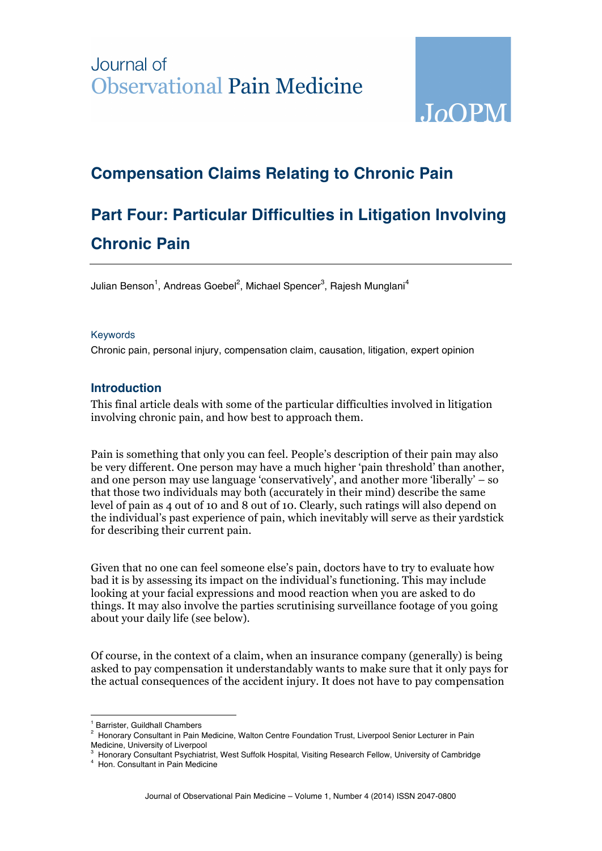## Journal of **Observational Pain Medicine**



## **Compensation Claims Relating to Chronic Pain**

# **Part Four: Particular Difficulties in Litigation Involving Chronic Pain**

Julian Benson<sup>1</sup>, Andreas Goebel<sup>2</sup>, Michael Spencer<sup>3</sup>, Rajesh Munglani<sup>4</sup>

#### Keywords

Chronic pain, personal injury, compensation claim, causation, litigation, expert opinion

## **Introduction**

This final article deals with some of the particular difficulties involved in litigation involving chronic pain, and how best to approach them.

Pain is something that only you can feel. People's description of their pain may also be very different. One person may have a much higher 'pain threshold' than another, and one person may use language 'conservatively', and another more 'liberally' – so that those two individuals may both (accurately in their mind) describe the same level of pain as 4 out of 10 and 8 out of 10. Clearly, such ratings will also depend on the individual's past experience of pain, which inevitably will serve as their yardstick for describing their current pain.

Given that no one can feel someone else's pain, doctors have to try to evaluate how bad it is by assessing its impact on the individual's functioning. This may include looking at your facial expressions and mood reaction when you are asked to do things. It may also involve the parties scrutinising surveillance footage of you going about your daily life (see below).

Of course, in the context of a claim, when an insurance company (generally) is being asked to pay compensation it understandably wants to make sure that it only pays for the actual consequences of the accident injury. It does not have to pay compensation

 $\overline{a}$ <sup>1</sup> Barrister, Guildhall Chambers

<sup>&</sup>lt;sup>2</sup> Honorary Consultant in Pain Medicine, Walton Centre Foundation Trust, Liverpool Senior Lecturer in Pain Medicine, University of Liverpool 3

Honorary Consultant Psychiatrist, West Suffolk Hospital, Visiting Research Fellow, University of Cambridge

<sup>4</sup> Hon. Consultant in Pain Medicine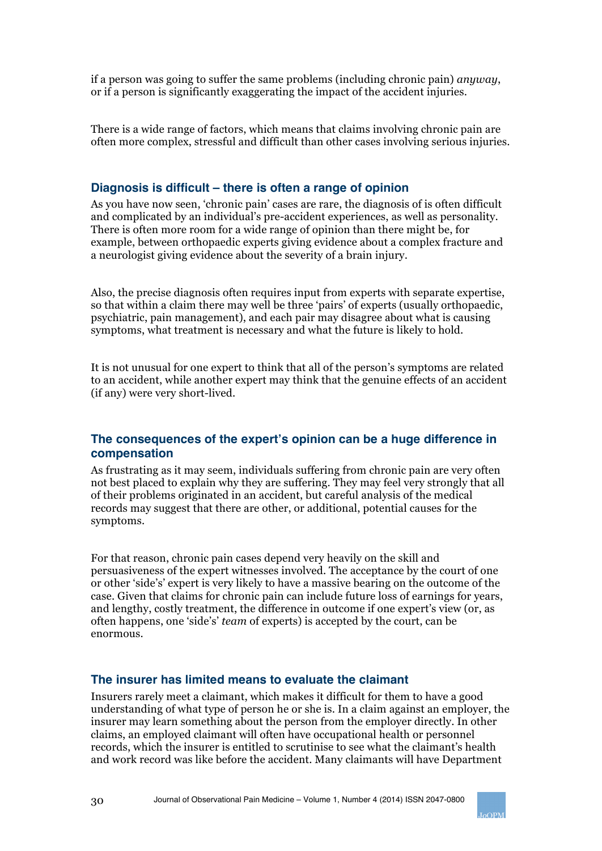if a person was going to suffer the same problems (including chronic pain) *anyway*, or if a person is significantly exaggerating the impact of the accident injuries.

There is a wide range of factors, which means that claims involving chronic pain are often more complex, stressful and difficult than other cases involving serious injuries.

## **Diagnosis is difficult – there is often a range of opinion**

As you have now seen, 'chronic pain' cases are rare, the diagnosis of is often difficult and complicated by an individual's pre-accident experiences, as well as personality. There is often more room for a wide range of opinion than there might be, for example, between orthopaedic experts giving evidence about a complex fracture and a neurologist giving evidence about the severity of a brain injury.

Also, the precise diagnosis often requires input from experts with separate expertise, so that within a claim there may well be three 'pairs' of experts (usually orthopaedic, psychiatric, pain management), and each pair may disagree about what is causing symptoms, what treatment is necessary and what the future is likely to hold.

It is not unusual for one expert to think that all of the person's symptoms are related to an accident, while another expert may think that the genuine effects of an accident (if any) were very short-lived.

### **The consequences of the expert's opinion can be a huge difference in compensation**

As frustrating as it may seem, individuals suffering from chronic pain are very often not best placed to explain why they are suffering. They may feel very strongly that all of their problems originated in an accident, but careful analysis of the medical records may suggest that there are other, or additional, potential causes for the symptoms.

For that reason, chronic pain cases depend very heavily on the skill and persuasiveness of the expert witnesses involved. The acceptance by the court of one or other 'side's' expert is very likely to have a massive bearing on the outcome of the case. Given that claims for chronic pain can include future loss of earnings for years, and lengthy, costly treatment, the difference in outcome if one expert's view (or, as often happens, one 'side's' *team* of experts) is accepted by the court, can be enormous.

### **The insurer has limited means to evaluate the claimant**

Insurers rarely meet a claimant, which makes it difficult for them to have a good understanding of what type of person he or she is. In a claim against an employer, the insurer may learn something about the person from the employer directly. In other claims, an employed claimant will often have occupational health or personnel records, which the insurer is entitled to scrutinise to see what the claimant's health and work record was like before the accident. Many claimants will have Department

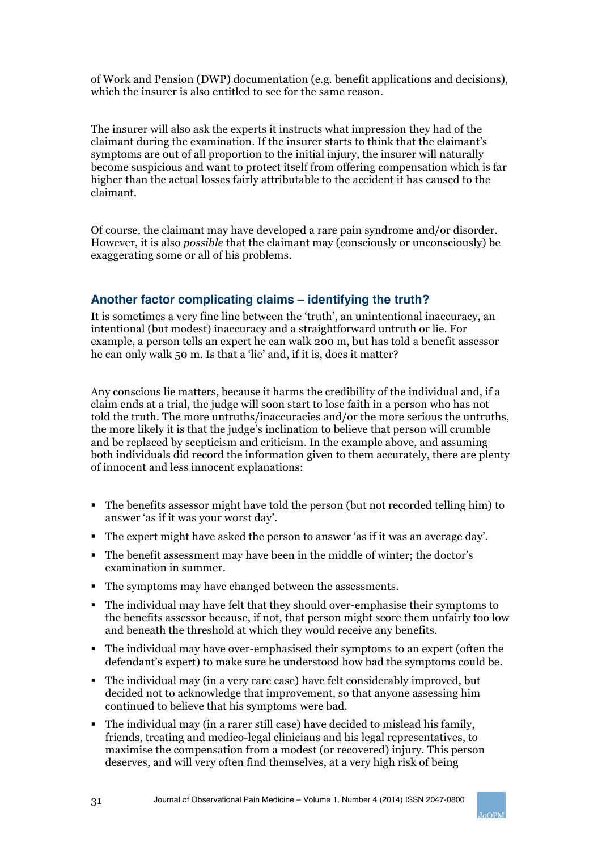of Work and Pension (DWP) documentation (e.g. benefit applications and decisions), which the insurer is also entitled to see for the same reason.

The insurer will also ask the experts it instructs what impression they had of the claimant during the examination. If the insurer starts to think that the claimant's symptoms are out of all proportion to the initial injury, the insurer will naturally become suspicious and want to protect itself from offering compensation which is far higher than the actual losses fairly attributable to the accident it has caused to the claimant.

Of course, the claimant may have developed a rare pain syndrome and/or disorder. However, it is also *possible* that the claimant may (consciously or unconsciously) be exaggerating some or all of his problems.

## **Another factor complicating claims – identifying the truth?**

It is sometimes a very fine line between the 'truth', an unintentional inaccuracy, an intentional (but modest) inaccuracy and a straightforward untruth or lie. For example, a person tells an expert he can walk 200 m, but has told a benefit assessor he can only walk 50 m. Is that a 'lie' and, if it is, does it matter?

Any conscious lie matters, because it harms the credibility of the individual and, if a claim ends at a trial, the judge will soon start to lose faith in a person who has not told the truth. The more untruths/inaccuracies and/or the more serious the untruths, the more likely it is that the judge's inclination to believe that person will crumble and be replaced by scepticism and criticism. In the example above, and assuming both individuals did record the information given to them accurately, there are plenty of innocent and less innocent explanations:

- § The benefits assessor might have told the person (but not recorded telling him) to answer 'as if it was your worst day'.
- § The expert might have asked the person to answer 'as if it was an average day'.
- § The benefit assessment may have been in the middle of winter; the doctor's examination in summer.
- The symptoms may have changed between the assessments.
- § The individual may have felt that they should over-emphasise their symptoms to the benefits assessor because, if not, that person might score them unfairly too low and beneath the threshold at which they would receive any benefits.
- The individual may have over-emphasised their symptoms to an expert (often the defendant's expert) to make sure he understood how bad the symptoms could be.
- § The individual may (in a very rare case) have felt considerably improved, but decided not to acknowledge that improvement, so that anyone assessing him continued to believe that his symptoms were bad.
- The individual may (in a rarer still case) have decided to mislead his family, friends, treating and medico-legal clinicians and his legal representatives, to maximise the compensation from a modest (or recovered) injury. This person deserves, and will very often find themselves, at a very high risk of being

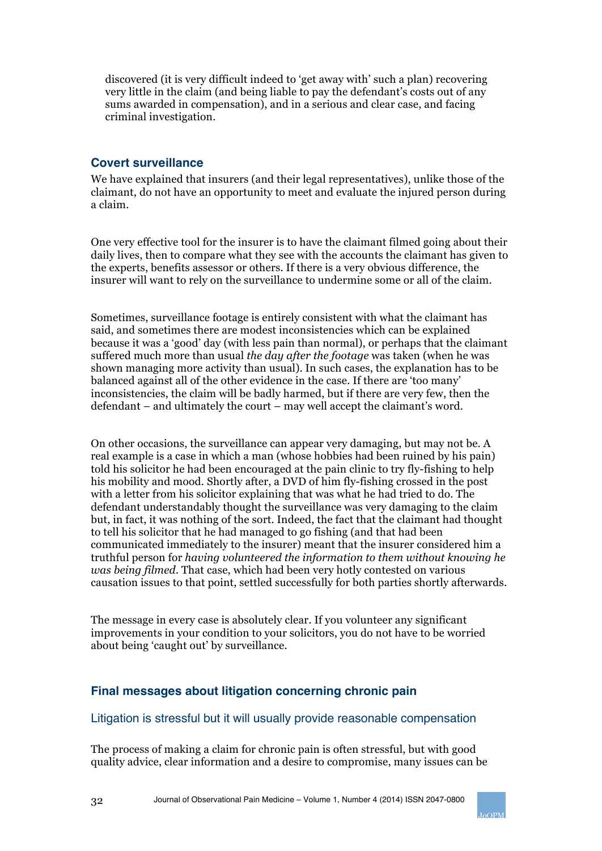discovered (it is very difficult indeed to 'get away with' such a plan) recovering very little in the claim (and being liable to pay the defendant's costs out of any sums awarded in compensation), and in a serious and clear case, and facing criminal investigation.

## **Covert surveillance**

We have explained that insurers (and their legal representatives), unlike those of the claimant, do not have an opportunity to meet and evaluate the injured person during a claim.

One very effective tool for the insurer is to have the claimant filmed going about their daily lives, then to compare what they see with the accounts the claimant has given to the experts, benefits assessor or others. If there is a very obvious difference, the insurer will want to rely on the surveillance to undermine some or all of the claim.

Sometimes, surveillance footage is entirely consistent with what the claimant has said, and sometimes there are modest inconsistencies which can be explained because it was a 'good' day (with less pain than normal), or perhaps that the claimant suffered much more than usual *the day after the footage* was taken (when he was shown managing more activity than usual). In such cases, the explanation has to be balanced against all of the other evidence in the case. If there are 'too many' inconsistencies, the claim will be badly harmed, but if there are very few, then the defendant – and ultimately the court – may well accept the claimant's word.

On other occasions, the surveillance can appear very damaging, but may not be. A real example is a case in which a man (whose hobbies had been ruined by his pain) told his solicitor he had been encouraged at the pain clinic to try fly-fishing to help his mobility and mood. Shortly after, a DVD of him fly-fishing crossed in the post with a letter from his solicitor explaining that was what he had tried to do. The defendant understandably thought the surveillance was very damaging to the claim but, in fact, it was nothing of the sort. Indeed, the fact that the claimant had thought to tell his solicitor that he had managed to go fishing (and that had been communicated immediately to the insurer) meant that the insurer considered him a truthful person for *having volunteered the information to them without knowing he was being filmed.* That case, which had been very hotly contested on various causation issues to that point, settled successfully for both parties shortly afterwards.

The message in every case is absolutely clear. If you volunteer any significant improvements in your condition to your solicitors, you do not have to be worried about being 'caught out' by surveillance.

## **Final messages about litigation concerning chronic pain**

### Litigation is stressful but it will usually provide reasonable compensation

The process of making a claim for chronic pain is often stressful, but with good quality advice, clear information and a desire to compromise, many issues can be

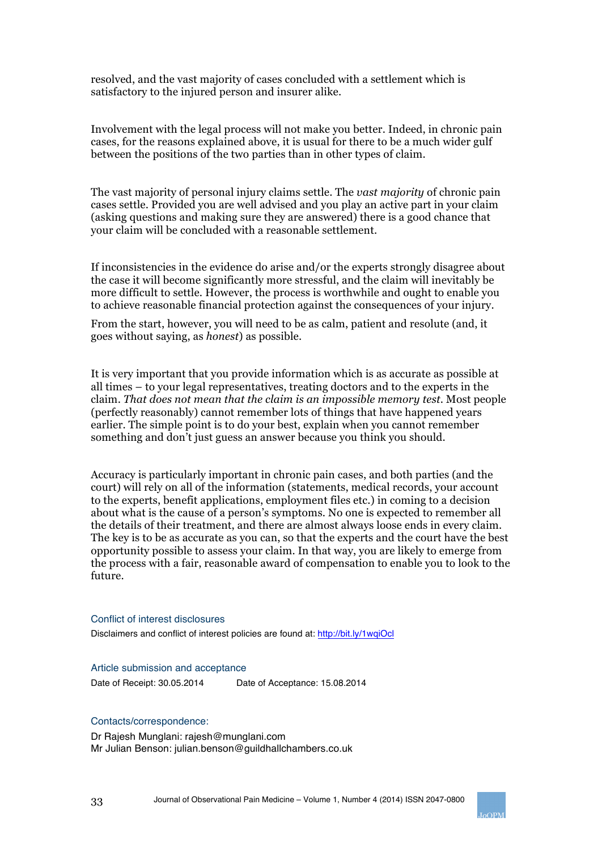resolved, and the vast majority of cases concluded with a settlement which is satisfactory to the injured person and insurer alike.

Involvement with the legal process will not make you better. Indeed, in chronic pain cases, for the reasons explained above, it is usual for there to be a much wider gulf between the positions of the two parties than in other types of claim.

The vast majority of personal injury claims settle. The *vast majority* of chronic pain cases settle. Provided you are well advised and you play an active part in your claim (asking questions and making sure they are answered) there is a good chance that your claim will be concluded with a reasonable settlement.

If inconsistencies in the evidence do arise and/or the experts strongly disagree about the case it will become significantly more stressful, and the claim will inevitably be more difficult to settle. However, the process is worthwhile and ought to enable you to achieve reasonable financial protection against the consequences of your injury.

From the start, however, you will need to be as calm, patient and resolute (and, it goes without saying, as *honest*) as possible.

It is very important that you provide information which is as accurate as possible at all times – to your legal representatives, treating doctors and to the experts in the claim. *That does not mean that the claim is an impossible memory test*. Most people (perfectly reasonably) cannot remember lots of things that have happened years earlier. The simple point is to do your best, explain when you cannot remember something and don't just guess an answer because you think you should.

Accuracy is particularly important in chronic pain cases, and both parties (and the court) will rely on all of the information (statements, medical records, your account to the experts, benefit applications, employment files etc.) in coming to a decision about what is the cause of a person's symptoms. No one is expected to remember all the details of their treatment, and there are almost always loose ends in every claim. The key is to be as accurate as you can, so that the experts and the court have the best opportunity possible to assess your claim. In that way, you are likely to emerge from the process with a fair, reasonable award of compensation to enable you to look to the future.

#### Conflict of interest disclosures

Disclaimers and conflict of interest policies are found at: http://bit.ly/1wqiOcl

#### Article submission and acceptance

Date of Receipt: 30.05.2014 Date of Acceptance: 15.08.2014

#### Contacts/correspondence:

Dr Rajesh Munglani: rajesh@munglani.com Mr Julian Benson: julian.benson@guildhallchambers.co.uk